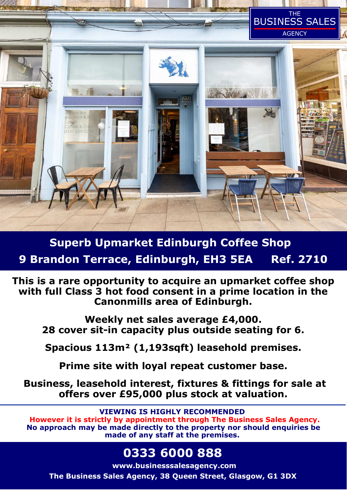

**Superb Upmarket Edinburgh Coffee Shop 9 Brandon Terrace, Edinburgh, EH3 5EA Ref. 2710**

**This is a rare opportunity to acquire an upmarket coffee shop with full Class 3 hot food consent in a prime location in the Canonmills area of Edinburgh.** 

**Weekly net sales average £4,000. 28 cover sit-in capacity plus outside seating for 6.** 

**Spacious 113m² (1,193sqft) leasehold premises.** 

**Prime site with loyal repeat customer base.** 

 **Business, leasehold interest, fixtures & fittings for sale at offers over £95,000 plus stock at valuation.** 

**VIEWING IS HIGHLY RECOMMENDED** 

 **However it is strictly by appointment through The Business Sales Agency. No approach may be made directly to the property nor should enquiries be made of any staff at the premises.** 

**0333 6000 888** 

**www.businesssalesagency.com The Business Sales Agency, 38 Queen Street, Glasgow, G1 3DX**